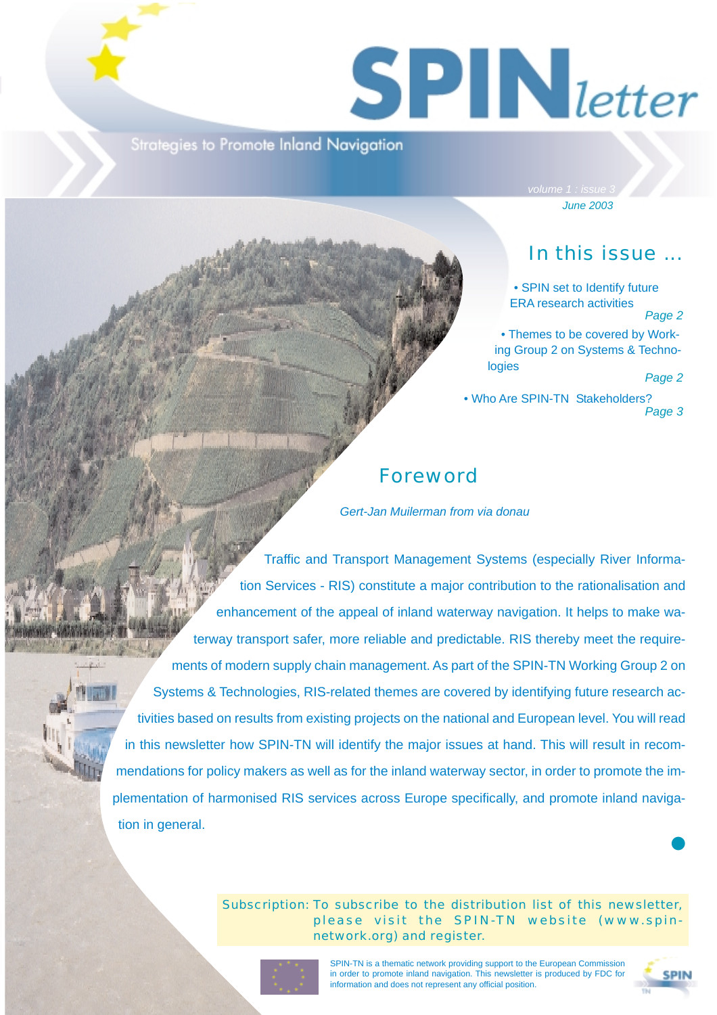# $S$  **P**  $\bigcup$  *letter*

Strategies to Promote Inland Navigation

*June 2003*

## In this issue ...

• SPIN set to Identify future ERA research activities

#### *Page 2*

• Themes to be covered by Working Group 2 on Systems & Technologies

*Page 2*

• Who Are SPIN-TN Stakeholders? *Page 3*

## Foreword

*Gert-Jan Muilerman from via donau*

Traffic and Transport Management Systems (especially River Information Services - RIS) constitute a major contribution to the rationalisation and enhancement of the appeal of inland waterway navigation. It helps to make waterway transport safer, more reliable and predictable. RIS thereby meet the requirements of modern supply chain management. As part of the SPIN-TN Working Group 2 on Systems & Technologies, RIS-related themes are covered by identifying future research activities based on results from existing projects on the national and European level. You will read in this newsletter how SPIN-TN will identify the major issues at hand. This will result in recommendations for policy makers as well as for the inland waterway sector, in order to promote the implementation of harmonised RIS services across Europe specifically, and promote inland navigation in general.

> Subscription: To subscribe to the distribution list of this newsletter, please visit the SPIN-TN website (www.spinnetwork.org) and register.



SPIN-TN is a thematic network providing support to the European Commission in order to promote inland navigation. This newsletter is produced by FDC for information and does not represent any official position.



❶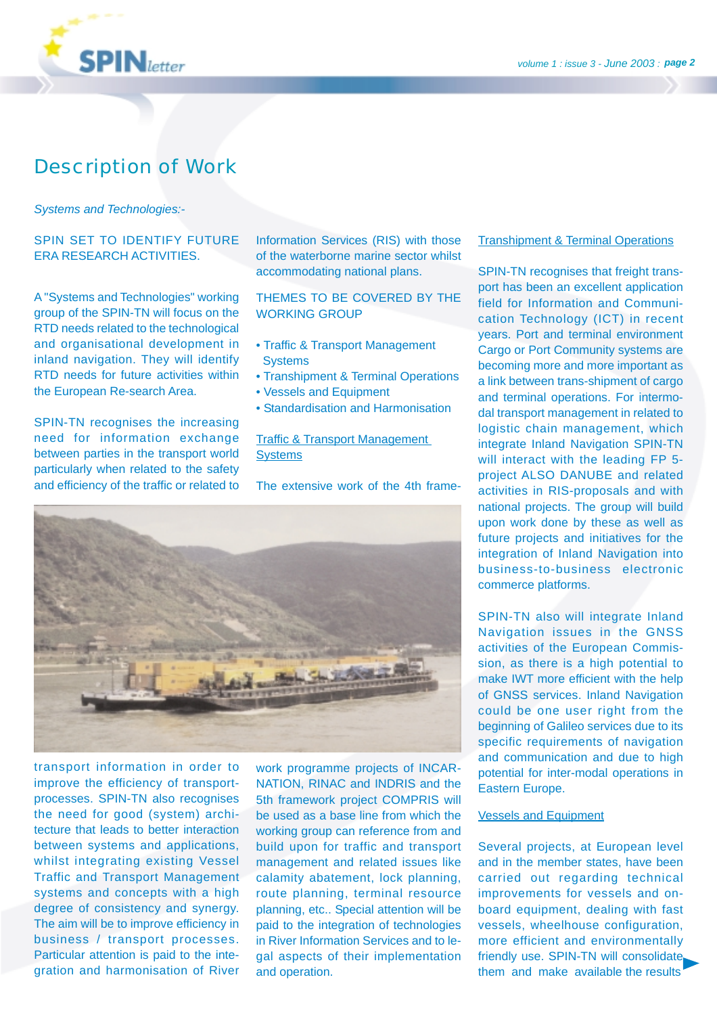

## Description of Work

#### *Systems and Technologies:-*

#### SPIN SET TO IDENTIFY FUTURE ERA RESEARCH ACTIVITIES.

A "Systems and Technologies" working group of the SPIN-TN will focus on the RTD needs related to the technological and organisational development in inland navigation. They will identify RTD needs for future activities within the European Re-search Area.

SPIN-TN recognises the increasing need for information exchange between parties in the transport world particularly when related to the safety and efficiency of the traffic or related to Information Services (RIS) with those of the waterborne marine sector whilst accommodating national plans.

THEMES TO BE COVERED BY THE WORKING GROUP

- Traffic & Transport Management **Systems**
- Transhipment & Terminal Operations
- Vessels and Equipment
- Standardisation and Harmonisation

Traffic & Transport Management **Systems** 

The extensive work of the 4th frame-



transport information in order to improve the efficiency of transportprocesses. SPIN-TN also recognises the need for good (system) architecture that leads to better interaction between systems and applications, whilst integrating existing Vessel Traffic and Transport Management systems and concepts with a high degree of consistency and synergy. The aim will be to improve efficiency in business / transport processes. Particular attention is paid to the integration and harmonisation of River

work programme projects of INCAR-NATION, RINAC and INDRIS and the 5th framework project COMPRIS will be used as a base line from which the working group can reference from and build upon for traffic and transport management and related issues like calamity abatement, lock planning, route planning, terminal resource planning, etc.. Special attention will be paid to the integration of technologies in River Information Services and to legal aspects of their implementation and operation.

#### **Transhipment & Terminal Operations**

SPIN-TN recognises that freight transport has been an excellent application field for Information and Communication Technology (ICT) in recent years. Port and terminal environment Cargo or Port Community systems are becoming more and more important as a link between trans-shipment of cargo and terminal operations. For intermodal transport management in related to logistic chain management, which integrate Inland Navigation SPIN-TN will interact with the leading FP 5project ALSO DANUBE and related activities in RIS-proposals and with national projects. The group will build upon work done by these as well as future projects and initiatives for the integration of Inland Navigation into business-to-business electronic commerce platforms.

SPIN-TN also will integrate Inland Navigation issues in the GNSS activities of the European Commission, as there is a high potential to make IWT more efficient with the help of GNSS services. Inland Navigation could be one user right from the beginning of Galileo services due to its specific requirements of navigation and communication and due to high potential for inter-modal operations in Eastern Europe.

#### Vessels and Equipment

Several projects, at European level and in the member states, have been carried out regarding technical improvements for vessels and onboard equipment, dealing with fast vessels, wheelhouse configuration, more efficient and environmentally friendly use. SPIN-TN will consolidate them and make available the results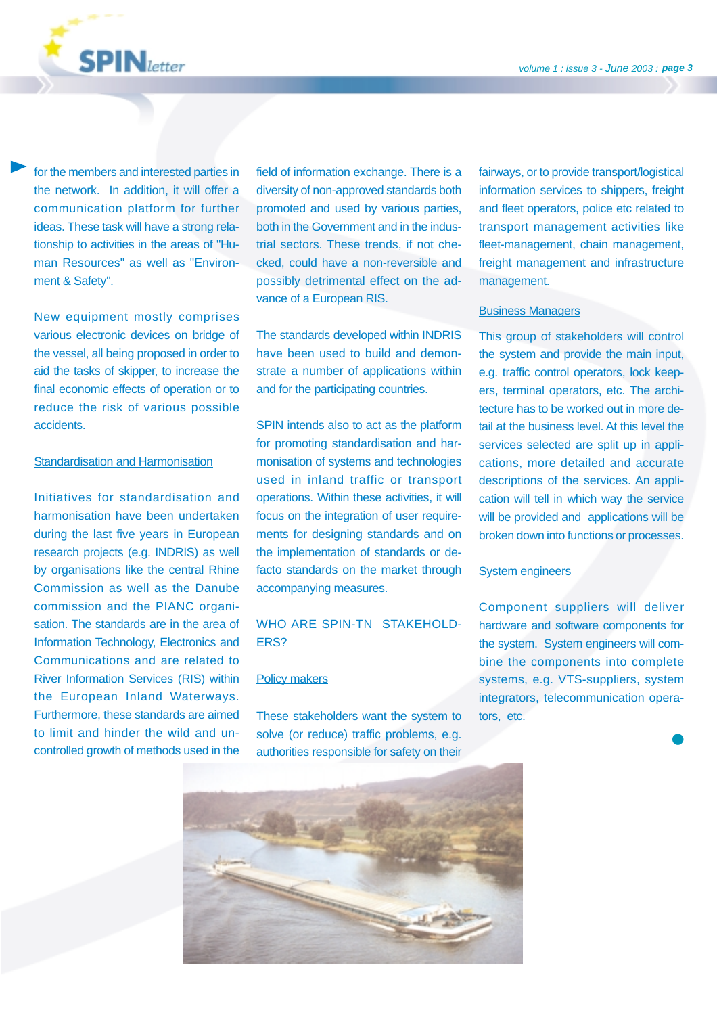

for the members and interested parties in the network. In addition, it will offer a communication platform for further ideas. These task will have a strong relationship to activities in the areas of "Human Resources" as well as "Environment & Safety".

New equipment mostly comprises various electronic devices on bridge of the vessel, all being proposed in order to aid the tasks of skipper, to increase the final economic effects of operation or to reduce the risk of various possible accidents.

#### Standardisation and Harmonisation

Initiatives for standardisation and harmonisation have been undertaken during the last five years in European research projects (e.g. INDRIS) as well by organisations like the central Rhine Commission as well as the Danube commission and the PIANC organisation. The standards are in the area of Information Technology, Electronics and Communications and are related to River Information Services (RIS) within the European Inland Waterways. Furthermore, these standards are aimed to limit and hinder the wild and uncontrolled growth of methods used in the field of information exchange. There is a diversity of non-approved standards both promoted and used by various parties, both in the Government and in the industrial sectors. These trends, if not checked, could have a non-reversible and possibly detrimental effect on the advance of a European RIS.

The standards developed within INDRIS have been used to build and demonstrate a number of applications within and for the participating countries.

SPIN intends also to act as the platform for promoting standardisation and harmonisation of systems and technologies used in inland traffic or transport operations. Within these activities, it will focus on the integration of user requirements for designing standards and on the implementation of standards or defacto standards on the market through accompanying measures.

#### WHO ARE SPIN-TN STAKEHOLD-ERS?

#### Policy makers

These stakeholders want the system to solve (or reduce) traffic problems, e.g. authorities responsible for safety on their fairways, or to provide transport/logistical information services to shippers, freight and fleet operators, police etc related to transport management activities like fleet-management, chain management, freight management and infrastructure management.

#### Business Managers

This group of stakeholders will control the system and provide the main input, e.g. traffic control operators, lock keepers, terminal operators, etc. The architecture has to be worked out in more detail at the business level. At this level the services selected are split up in applications, more detailed and accurate descriptions of the services. An application will tell in which way the service will be provided and applications will be broken down into functions or processes.

#### **System engineers**

Component suppliers will deliver hardware and software components for the system. System engineers will combine the components into complete systems, e.g. VTS-suppliers, system integrators, telecommunication operators, etc.

❶

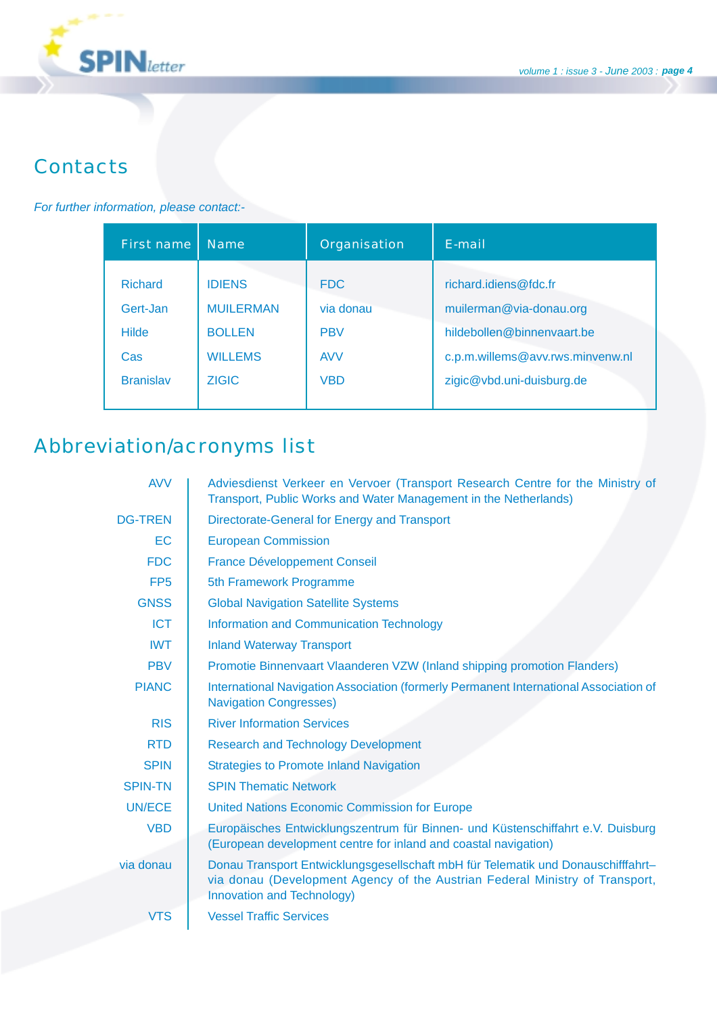

## **Contacts**

#### *For further information, please contact:-*

| First name       | <b>Name</b>      | Organisation | E-mail                           |
|------------------|------------------|--------------|----------------------------------|
| <b>Richard</b>   | <b>IDIENS</b>    | <b>FDC</b>   | richard.idiens@fdc.fr            |
| Gert-Jan         | <b>MUILERMAN</b> | via donau    | muilerman@via-donau.org          |
| <b>Hilde</b>     | <b>BOLLEN</b>    | <b>PBV</b>   | hildebollen@binnenvaart.be       |
| Cas              | <b>WILLEMS</b>   | <b>AVV</b>   | c.p.m.willems@avv.rws.minvenw.nl |
| <b>Branislav</b> | <b>ZIGIC</b>     | <b>VBD</b>   | zigic@vbd.uni-duisburg.de        |

## Abbreviation/acronyms list

| <b>AVV</b>      | Adviesdienst Verkeer en Vervoer (Transport Research Centre for the Ministry of<br>Transport, Public Works and Water Management in the Netherlands)                                             |  |  |
|-----------------|------------------------------------------------------------------------------------------------------------------------------------------------------------------------------------------------|--|--|
| <b>DG-TREN</b>  | Directorate-General for Energy and Transport                                                                                                                                                   |  |  |
| EC              | <b>European Commission</b>                                                                                                                                                                     |  |  |
| <b>FDC</b>      | <b>France Développement Conseil</b>                                                                                                                                                            |  |  |
| FP <sub>5</sub> | 5th Framework Programme                                                                                                                                                                        |  |  |
| <b>GNSS</b>     | <b>Global Navigation Satellite Systems</b>                                                                                                                                                     |  |  |
| <b>ICT</b>      | <b>Information and Communication Technology</b>                                                                                                                                                |  |  |
| <b>IWT</b>      | <b>Inland Waterway Transport</b>                                                                                                                                                               |  |  |
| <b>PBV</b>      | Promotie Binnenvaart Vlaanderen VZW (Inland shipping promotion Flanders)                                                                                                                       |  |  |
| <b>PIANC</b>    | International Navigation Association (formerly Permanent International Association of<br><b>Navigation Congresses)</b>                                                                         |  |  |
| <b>RIS</b>      | <b>River Information Services</b>                                                                                                                                                              |  |  |
| <b>RTD</b>      | <b>Research and Technology Development</b>                                                                                                                                                     |  |  |
| <b>SPIN</b>     | <b>Strategies to Promote Inland Navigation</b>                                                                                                                                                 |  |  |
| <b>SPIN-TN</b>  | <b>SPIN Thematic Network</b>                                                                                                                                                                   |  |  |
| <b>UN/ECE</b>   | <b>United Nations Economic Commission for Europe</b>                                                                                                                                           |  |  |
| <b>VBD</b>      | Europäisches Entwicklungszentrum für Binnen- und Küstenschiffahrt e.V. Duisburg<br>(European development centre for inland and coastal navigation)                                             |  |  |
| via donau       | Donau Transport Entwicklungsgesellschaft mbH für Telematik und Donauschifffahrt-<br>via donau (Development Agency of the Austrian Federal Ministry of Transport,<br>Innovation and Technology) |  |  |
| <b>VTS</b>      | <b>Vessel Traffic Services</b>                                                                                                                                                                 |  |  |